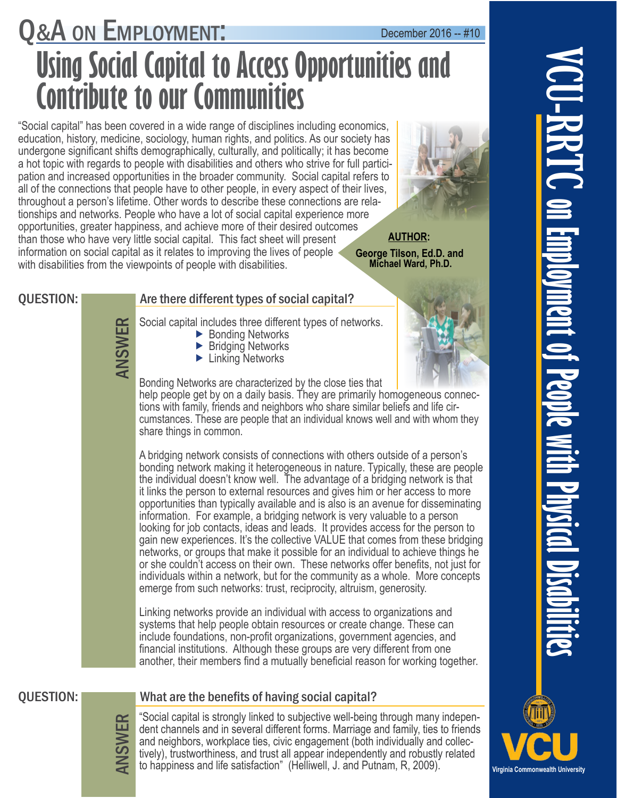# Q&A ON EMPLOYMENT: December 2016 -- #10 **Using Social Capital to Access Opportunities and Contribute to our Communities**

information on social capital as it relates to improving the lives of people < information on social capital as it relates to improving the lives of people<br>with disabilities from the viewpoints of people with disabilities.<br>QUESTION: **Are there different types of social capital?** "Social capital" has been covered in a wide range of disciplines including economics, education, history, medicine, sociology, human rights, and politics. As our society has undergone significant shifts demographically, culturally, and politically; it has become a hot topic with regards to people with disabilities and others who strive for full participation and increased opportunities in the broader community. Social capital refers to all of the connections that people have to other people, in every aspect of their lives, throughout a person's lifetime. Other words to describe these connections are relationships and networks. People who have a lot of social capital experience more opportunities, greater happiness, and achieve more of their desired outcomes than those who have very little social capital. This fact sheet will present with disabilities from the viewpoints of people with disabilities.



 **Michael Ward, Ph.D. AUTHOR:** 

# Are there different types of social capital?

Social capital includes three different types of networks.<br>  $\rightarrow$  Bonding Networks<br>  $\rightarrow$  Einking Networks<br>  $\rightarrow$  Linking Networks

- ▶ Bonding Networks
- ▶ Bridging Networks
- ▶ Linking Networks



Bonding Networks are characterized by the close ties that help people get by on a daily basis. They are primarily homogeneous connections with family, friends and neighbors who share similar beliefs and life circumstances. These are people that an individual knows well and with whom they share things in common.

A bridging network consists of connections with others outside of a person's bonding network making it heterogeneous in nature. Typically, these are people the individual doesn't know well. The advantage of a bridging network is that it links the person to external resources and gives him or her access to more opportunities than typically available and is also is an avenue for disseminating information. For example, a bridging network is very valuable to a person looking for job contacts, ideas and leads. It provides access for the person to gain new experiences. It's the collective VALUE that comes from these bridging networks, or groups that make it possible for an individual to achieve things he or she couldn't access on their own. These networks offer benefits, not just for individuals within a network, but for the community as a whole. More concepts emerge from such networks: trust, reciprocity, altruism, generosity.

Linking networks provide an individual with access to organizations and systems that help people obtain resources or create change. These can include foundations, non-profit organizations, government agencies, and financial institutions. Although these groups are very different from one another, their members find a mutually beneficial reason for working together.

# QUESTION: What are the benefits of having social capital?

ANSWER

"Social capital is strongly linked to subjective well-being through many independent channels and in several different forms. Marriage and family, ties to friends and neighbors, workplace ties, civic engagement (both individually and collectively), trustworthiness, and trust all appear independently and robustly related to happiness and life satisfaction" (Helliwell, J. and Putnam, R, 2009).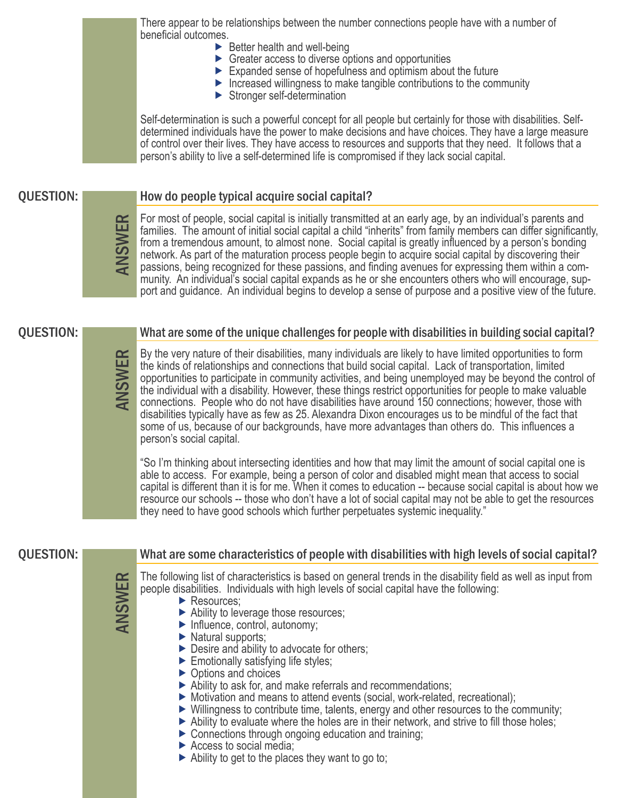There appear to be relationships between the number connections people have with a number of beneficial outcomes.

- $\blacktriangleright$  Better health and well-being
- $\triangleright$  Greater access to diverse options and opportunities
- Expanded sense of hopefulness and optimism about the future
- $\blacktriangleright$  Increased willingness to make tangible contributions to the community
- Stronger self-determination

Self-determination is such a powerful concept for all people but certainly for those with disabilities. Selfdetermined individuals have the power to make decisions and have choices. They have a large measure of control over their lives. They have access to resources and supports that they need. It follows that a person's ability to live a self-determined life is compromised if they lack social capital.

# QUESTION:

| $\boldsymbol{\omega}$ | F<br>f<br>fı<br>n<br>р<br>n |
|-----------------------|-----------------------------|
|                       |                             |

# How do people typical acquire social capital?

or most of people, social capital is initially transmitted at an early age, by an individual's parents and amilies. The amount of initial social capital a child "inherits" from family members can differ significantly, from a tremendous amount, to almost none. Social capital is greatly influenced by a person's bonding etwork. As part of the maturation process people begin to acquire social capital by discovering their passions, being recognized for these passions, and finding avenues for expressing them within a community. An individual's social capital expands as he or she encounters others who will encourage, support and guidance. An individual begins to develop a sense of purpose and a positive view of the future.

## QUESTION: What are some of the unique challenges for people with disabilities in building social capital?

By the very nature of their disabilities, many individuals are likely to have limited opportunities to form<br>the kinds of relationships and connections that build social capital. Lack of transportation, limited<br>opportunitie the kinds of relationships and connections that build social capital. Lack of transportation, limited opportunities to participate in community activities, and being unemployed may be beyond the control of the individual with a disability. However, these things restrict opportunities for people to make valuable connections. People who do not have disabilities have around 150 connections; however, those with disabilities typically have as few as 25. Alexandra Dixon encourages us to be mindful of the fact that some of us, because of our backgrounds, have more advantages than others do. This influences a person's social capital.

"So I'm thinking about intersecting identities and how that may limit the amount of social capital one is able to access. For example, being a person of color and disabled might mean that access to social capital is different than it is for me. When it comes to education -- because social capital is about how we resource our schools -- those who don't have a lot of social capital may not be able to get the resources they need to have good schools which further perpetuates systemic inequality."

# QUESTION: What are some characteristics of people with disabilities with high levels of social capital?

The following list of characteristics is based on general trends in the disability field as well as input from<br>
People disabilities. Individuals with high levels of social capital have the following:<br>
Ability to leverage t people disabilities. Individuals with high levels of social capital have the following:

- Resources;
- Ability to leverage those resources;
- Influence, control, autonomy;
- ▶ Natural supports;
- ▶ Desire and ability to advocate for others;
- Emotionally satisfying life styles;
- ▶ Options and choices
- Ability to ask for, and make referrals and recommendations;
- Motivation and means to attend events (social, work-related, recreational);
- Willingness to contribute time, talents, energy and other resources to the community;
- $\triangleright$  Ability to evaluate where the holes are in their network, and strive to fill those holes;
- ▶ Connections through ongoing education and training;
- $\triangleright$  Access to social media;
- $\blacktriangleright$  Ability to get to the places they want to go to;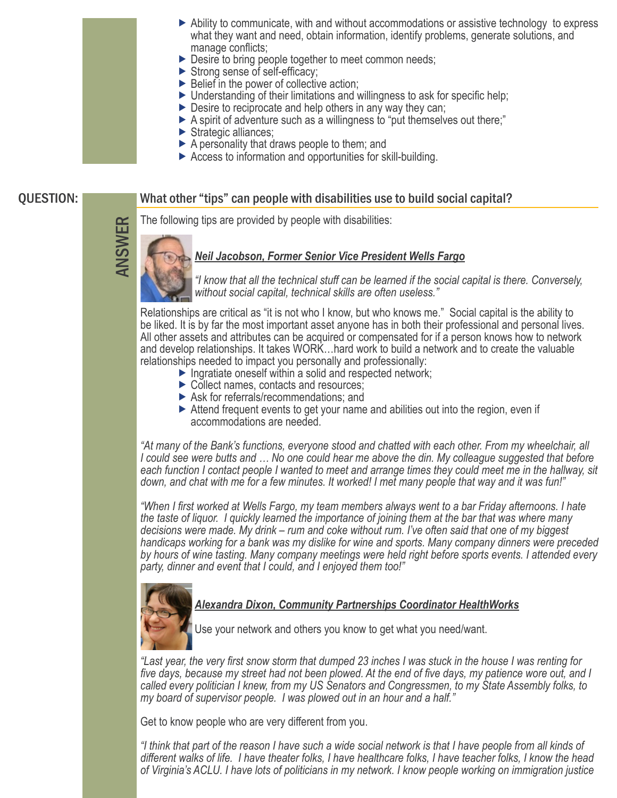- Ability to communicate, with and without accommodations or assistive technology to express what they want and need, obtain information, identify problems, generate solutions, and manage conflicts;
- ▶ Desire to bring people together to meet common needs;
- Strong sense of self-efficacy;
- $\triangleright$  Belief in the power of collective action;
- ▶ Understanding of their limitations and willingness to ask for specific help;
- $\triangleright$  Desire to reciprocate and help others in any way they can;
- A spirit of adventure such as a willingness to "put themselves out there;"
- Strategic alliances;
- $\triangleright$  A personality that draws people to them; and
- Access to information and opportunities for skill-building.

# What other "tips" can people with disabilities use to build social capital?

# QUESTION:

The following tips are provided by people with disabilities:

## *Neil Jacobson, Former Senior Vice President Wells Fargo*

*"I know that all the technical stuff can be learned if the social capital is there. Conversely, without social capital, technical skills are often useless."* 

Relationships are critical as "it is not who I know, but who knows me." Social capital is the ability to be liked. It is by far the most important asset anyone has in both their professional and personal lives. All other assets and attributes can be acquired or compensated for if a person knows how to network and develop relationships. It takes WORK…hard work to build a network and to create the valuable relationships needed to impact you personally and professionally:

- $\blacktriangleright$  Ingratiate oneself within a solid and respected network;
- ▶ Collect names, contacts and resources;
- Ask for referrals/recommendations; and
- Attend frequent events to get your name and abilities out into the region, even if accommodations are needed.

*"At many of the Bank's functions, everyone stood and chatted with each other. From my wheelchair, all I could see were butts and … No one could hear me above the din. My colleague suggested that before each function I contact people I wanted to meet and arrange times they could meet me in the hallway, sit down, and chat with me for a few minutes. It worked! I met many people that way and it was fun!"* 

*"When I first worked at Wells Fargo, my team members always went to a bar Friday afternoons. I hate the taste of liquor. I quickly learned the importance of joining them at the bar that was where many decisions were made. My drink – rum and coke without rum. I've often said that one of my biggest handicaps working for a bank was my dislike for wine and sports. Many company dinners were preceded by hours of wine tasting. Many company meetings were held right before sports events. I attended every party, dinner and event that I could, and I enjoyed them too!"* 



I

ANSWER

## *Alexandra Dixon, Community Partnerships Coordinator HealthWorks*

Use your network and others you know to get what you need/want.

*"Last year, the very first snow storm that dumped 23 inches I was stuck in the house I was renting for five days, because my street had not been plowed. At the end of five days, my patience wore out, and I called every politician I knew, from my US Senators and Congressmen, to my State Assembly folks, to my board of supervisor people. I was plowed out in an hour and a half."* 

Get to know people who are very different from you.

*"I think that part of the reason I have such a wide social network is that I have people from all kinds of different walks of life. I have theater folks, I have healthcare folks, I have teacher folks, I know the head of Virginia's ACLU. I have lots of politicians in my network. I know people working on immigration justice*